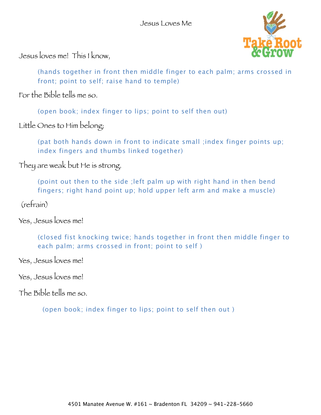

Jesus loves me! This I know,

(hands together in front then middle finger to each palm; arms crossed in front; point to self; raise hand to temple)

For the Bible tells me so.

(open book; index finger to lips; point to self then out)

Little Ones to Him belong;

(pat both hands down in front to indicate small ;index finger points up; index fingers and thumbs linked together)

They are weak but He is strong.

(point out then to the side ;left palm up with right hand in then bend fingers; right hand point up; hold upper left arm and make a muscle)

(refrain)

Yes, Jesus loves me!

(closed fist knocking twice; hands together in front then middle finger to each palm; arms crossed in front; point to self )

Yes, Jesus loves me!

Yes, Jesus loves me!

The Bible tells me so.

(open book; index finger to lips; point to self then out )